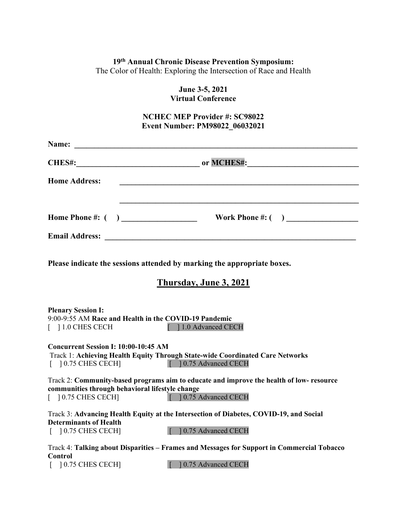## **19th Annual Chronic Disease Prevention Symposium:**

The Color of Health: Exploring the Intersection of Race and Health

**June 3-5, 2021 Virtual Conference**

# **NCHEC MEP Provider #: SC98022 Event Number: PM98022\_06032021**

| <b>Home Address:</b>                                                         | and the control of the control of the control of the control of the control of the control of the control of the    |
|------------------------------------------------------------------------------|---------------------------------------------------------------------------------------------------------------------|
|                                                                              |                                                                                                                     |
|                                                                              |                                                                                                                     |
|                                                                              | Please indicate the sessions attended by marking the appropriate boxes.                                             |
|                                                                              | Thursday, June 3, 2021                                                                                              |
| <b>Plenary Session I:</b><br>[ ] 1.0 CHES CECH                               | 9:00-9:55 AM Race and Health in the COVID-19 Pandemic<br>[ ] 1.0 Advanced CECH                                      |
| Concurrent Session I: 10:00-10:45 AM<br>$\lceil$ 10.75 CHES CECH             | Track 1: Achieving Health Equity Through State-wide Coordinated Care Networks<br>[ 10.75 Advanced CECH              |
| communities through behavioral lifestyle change<br>$\lceil$ 10.75 CHES CECH] | Track 2: Community-based programs aim to educate and improve the health of low-resource<br>[ ] 0.75 Advanced CECH   |
| <b>Determinants of Health</b><br>$\lceil$ 10.75 CHES CECH                    | Track 3: Advancing Health Equity at the Intersection of Diabetes, COVID-19, and Social<br>[ ] 0.75 Advanced CECH    |
| <b>Control</b><br>$[$ 10.75 CHES CECH]                                       | Track 4: Talking about Disparities – Frames and Messages for Support in Commercial Tobacco<br>[ 10.75 Advanced CECH |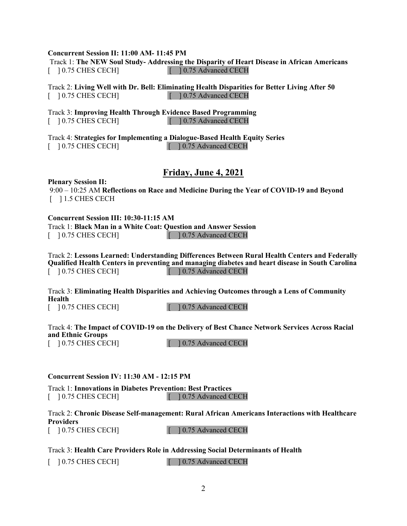#### **Concurrent Session II: 11:00 AM- 11:45 PM**

Track 1: **The NEW Soul Study- Addressing the Disparity of Heart Disease in African Americans** [ ] 0.75 CHES CECH] [ ] 0.75 Advanced CECH

Track 2: **Living Well with Dr. Bell: Eliminating Health Disparities for Better Living After 50** [ ] 0.75 CHES CECH] [ ] 0.75 Advanced CECH

Track 3: **Improving Health Through Evidence Based Programming** [ ] 0.75 CHES CECH] [ ] 0.75 Advanced CECH

Track 4: **Strategies for Implementing a Dialogue-Based Health Equity Series**  [ ] 0.75 CHES CECH] [ ] 0.75 Advanced CECH

## **Friday, June 4, 2021**

**Plenary Session II:**

9:00 – 10:25 AM **Reflections on Race and Medicine During the Year of COVID-19 and Beyond** [ ] 1.5 CHES CECH

#### **Concurrent Session III: 10:30-11:15 AM**

Track 1: **Black Man in a White Coat: Question and Answer Session** [ ] 0.75 CHES CECH] [ ] 0.75 Advanced CECH

Track 2: **Lessons Learned: Understanding Differences Between Rural Health Centers and Federally Qualified Health Centers in preventing and managing diabetes and heart disease in South Carolina**<br>
[10.75 CHES CECH]<br>
[10.75 Advanced CECH]  $\lceil$  10.75 Advanced CECH

Track 3: **Eliminating Health Disparities and Achieving Outcomes through a Lens of Community Health**

[ ] 0.75 CHES CECH] [ ] 0.75 Advanced CECH

Track 4: **The Impact of COVID-19 on the Delivery of Best Chance Network Services Across Racial and Ethnic Groups**  [ ] 0.75 CHES CECH] [ ] 0.75 Advanced CECH

**Concurrent Session IV: 11:30 AM - 12:15 PM**

Track 1: **Innovations in Diabetes Prevention: Best Practices** [ ] 0.75 CHES CECH] [ ] 0.75 Advanced CECH

Track 2: **Chronic Disease Self-management: Rural African Americans Interactions with Healthcare Providers** 

[ ] 0.75 CHES CECH] [ ] 0.75 Advanced CECH

Track 3: **Health Care Providers Role in Addressing Social Determinants of Health** 

[ ] 0.75 CHES CECH] [ ] 0.75 Advanced CECH

2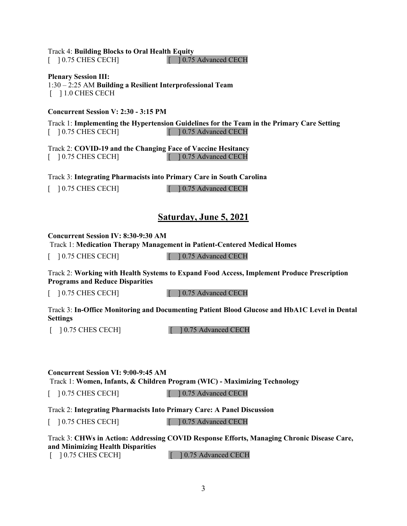#### Track 4: **Building Blocks to Oral Health Equity**

[ ] 0.75 CHES CECH] [ ] 0.75 Advanced CECH

**Plenary Session III:** 1:30 – 2:25 AM **Building a Resilient Interprofessional Team** [ ] 1.0 CHES CECH

#### **Concurrent Session V: 2:30 - 3:15 PM**

Track 1: **Implementing the Hypertension Guidelines for the Team in the Primary Care Setting** [ ] 0.75 CHES CECH] [ ] 0.75 Advanced CECH

Track 2: **COVID-19 and the Changing Face of Vaccine Hesitancy** [ ] 0.75 CHES CECH] [ ] 0.75 Advanced CECH

Track 3: **Integrating Pharmacists into Primary Care in South Carolina**

[ ] 0.75 CHES CECH] [ ] 0.75 Advanced CECH

# **Saturday, June 5, 2021**

#### **Concurrent Session IV: 8:30-9:30 AM**

Track 1: **Medication Therapy Management in Patient-Centered Medical Homes**

[ ] 0.75 CHES CECH] [ ] 0.75 Advanced CECH

Track 2: **Working with Health Systems to Expand Food Access, Implement Produce Prescription Programs and Reduce Disparities**

[ ] 0.75 CHES CECH] [ ] 0.75 Advanced CECH

Track 3: **In-Office Monitoring and Documenting Patient Blood Glucose and HbA1C Level in Dental Settings**

[ ] 0.75 CHES CECH] [ ] 0.75 Advanced CECH

**Concurrent Session VI: 9:00-9:45 AM** Track 1: **Women, Infants, & Children Program (WIC) - Maximizing Technology**

[ ] 0.75 CHES CECH] [ ] 0.75 Advanced CECH

Track 2: **Integrating Pharmacists Into Primary Care: A Panel Discussion**

[ ] 0.75 CHES CECH] [ ] 0.75 Advanced CECH

#### Track 3: **CHWs in Action: Addressing COVID Response Efforts, Managing Chronic Disease Care, and Minimizing Health Disparities** [ ] 0.75 CHES CECH] [ ] 0.75 Advanced CECH